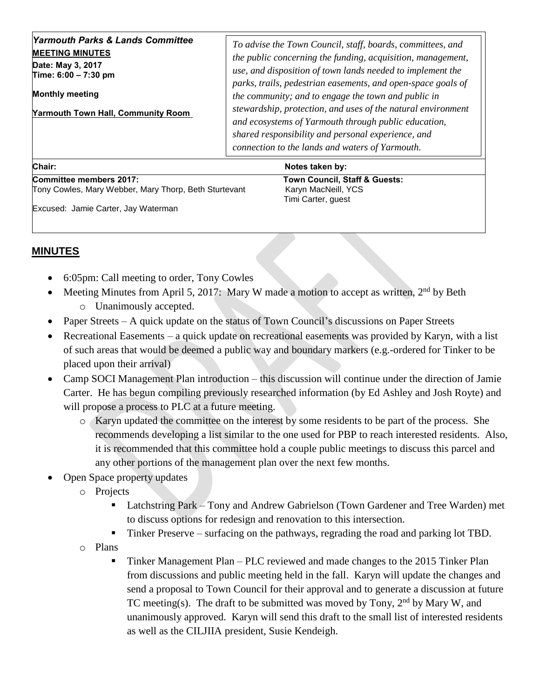| Time: $6:00 - 7:30$ pm<br><b>Monthly meeting</b><br><b>Yarmouth Town Hall, Community Room</b> | parks, trails, pedestrian easements, and open-space goals of<br>the community; and to engage the town and public in<br>stewardship, protection, and uses of the natural environment<br>and ecosystems of Yarmouth through public education,<br>shared responsibility and personal experience, and<br>connection to the lands and waters of Yarmouth. |
|-----------------------------------------------------------------------------------------------|------------------------------------------------------------------------------------------------------------------------------------------------------------------------------------------------------------------------------------------------------------------------------------------------------------------------------------------------------|
| Yarmouth Parks & Lands Committee                                                              | To advise the Town Council, staff, boards, committees, and                                                                                                                                                                                                                                                                                           |
| <b>MEETING MINUTES</b>                                                                        | the public concerning the funding, acquisition, management,                                                                                                                                                                                                                                                                                          |
| Date: May 3, 2017                                                                             | use, and disposition of town lands needed to implement the                                                                                                                                                                                                                                                                                           |

| .                                                     |  |
|-------------------------------------------------------|--|
| Committee members 2017:                               |  |
| Tony Cowles, Mary Webber, Mary Thorp, Beth Sturtevant |  |

**Town Council, Staff & Guests:** Karyn MacNeill, YCS Timi Carter, guest

Excused: Jamie Carter, Jay Waterman

## **MINUTES**

- 6:05pm: Call meeting to order, Tony Cowles
- Meeting Minutes from April 5, 2017: Mary W made a motion to accept as written, 2<sup>nd</sup> by Beth o Unanimously accepted.
- Paper Streets A quick update on the status of Town Council's discussions on Paper Streets
- Recreational Easements a quick update on recreational easements was provided by Karyn, with a list of such areas that would be deemed a public way and boundary markers (e.g.-ordered for Tinker to be placed upon their arrival)
- Camp SOCI Management Plan introduction this discussion will continue under the direction of Jamie Carter. He has begun compiling previously researched information (by Ed Ashley and Josh Royte) and will propose a process to PLC at a future meeting.
	- o Karyn updated the committee on the interest by some residents to be part of the process. She recommends developing a list similar to the one used for PBP to reach interested residents. Also, it is recommended that this committee hold a couple public meetings to discuss this parcel and any other portions of the management plan over the next few months.
- Open Space property updates
	- o Projects
		- Latchstring Park Tony and Andrew Gabrielson (Town Gardener and Tree Warden) met to discuss options for redesign and renovation to this intersection.
		- Tinker Preserve surfacing on the pathways, regrading the road and parking lot TBD.
	- o Plans
		- Tinker Management Plan PLC reviewed and made changes to the  $2015$  Tinker Plan from discussions and public meeting held in the fall. Karyn will update the changes and send a proposal to Town Council for their approval and to generate a discussion at future TC meeting(s). The draft to be submitted was moved by Tony,  $2<sup>nd</sup>$  by Mary W, and unanimously approved. Karyn will send this draft to the small list of interested residents as well as the CILJIIA president, Susie Kendeigh.